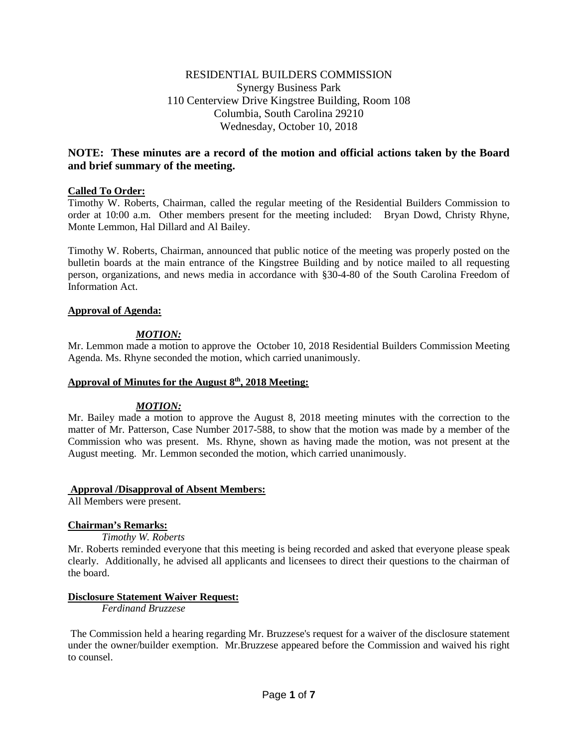# RESIDENTIAL BUILDERS COMMISSION Synergy Business Park 110 Centerview Drive Kingstree Building, Room 108 Columbia, South Carolina 29210 Wednesday, October 10, 2018

# **NOTE: These minutes are a record of the motion and official actions taken by the Board and brief summary of the meeting.**

# **Called To Order:**

Timothy W. Roberts, Chairman, called the regular meeting of the Residential Builders Commission to order at 10:00 a.m. Other members present for the meeting included: Bryan Dowd, Christy Rhyne, Monte Lemmon, Hal Dillard and Al Bailey.

Timothy W. Roberts, Chairman, announced that public notice of the meeting was properly posted on the bulletin boards at the main entrance of the Kingstree Building and by notice mailed to all requesting person, organizations, and news media in accordance with §30-4-80 of the South Carolina Freedom of Information Act.

#### **Approval of Agenda:**

# *MOTION:*

Mr. Lemmon made a motion to approve the October 10, 2018 Residential Builders Commission Meeting Agenda. Ms. Rhyne seconded the motion, which carried unanimously.

#### **Approval of Minutes for the August 8th, 2018 Meeting:**

#### *MOTION:*

Mr. Bailey made a motion to approve the August 8, 2018 meeting minutes with the correction to the matter of Mr. Patterson, Case Number 2017-588, to show that the motion was made by a member of the Commission who was present. Ms. Rhyne, shown as having made the motion, was not present at the August meeting. Mr. Lemmon seconded the motion, which carried unanimously.

#### **Approval /Disapproval of Absent Members:**

All Members were present.

#### **Chairman's Remarks:**

*Timothy W. Roberts*

Mr. Roberts reminded everyone that this meeting is being recorded and asked that everyone please speak clearly. Additionally, he advised all applicants and licensees to direct their questions to the chairman of the board.

#### **Disclosure Statement Waiver Request:**

*Ferdinand Bruzzese*

The Commission held a hearing regarding Mr. Bruzzese's request for a waiver of the disclosure statement under the owner/builder exemption. Mr.Bruzzese appeared before the Commission and waived his right to counsel.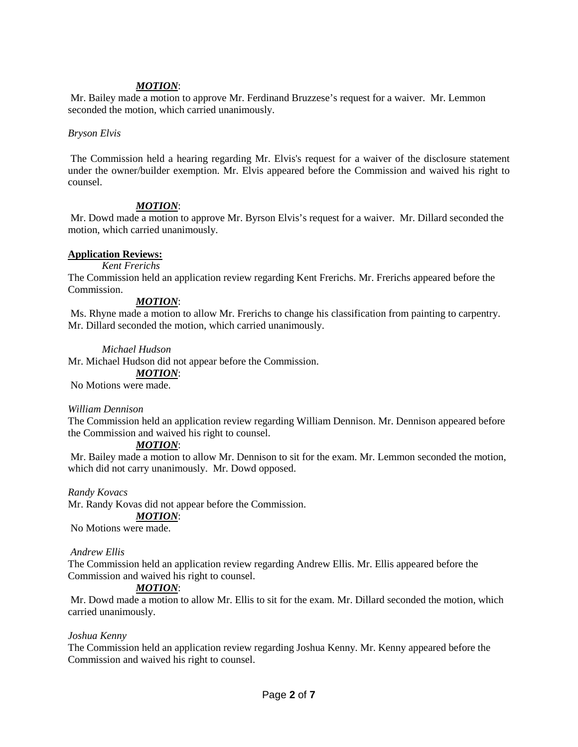# *MOTION*:

Mr. Bailey made a motion to approve Mr. Ferdinand Bruzzese's request for a waiver. Mr. Lemmon seconded the motion, which carried unanimously.

#### *Bryson Elvis*

The Commission held a hearing regarding Mr. Elvis's request for a waiver of the disclosure statement under the owner/builder exemption. Mr. Elvis appeared before the Commission and waived his right to counsel.

# *MOTION*:

Mr. Dowd made a motion to approve Mr. Byrson Elvis's request for a waiver. Mr. Dillard seconded the motion, which carried unanimously.

# **Application Reviews:**

#### *Kent Frerichs*

The Commission held an application review regarding Kent Frerichs. Mr. Frerichs appeared before the Commission.

#### *MOTION*:

Ms. Rhyne made a motion to allow Mr. Frerichs to change his classification from painting to carpentry. Mr. Dillard seconded the motion, which carried unanimously.

#### *Michael Hudson*

Mr. Michael Hudson did not appear before the Commission.

*MOTION*:

No Motions were made.

#### *William Dennison*

The Commission held an application review regarding William Dennison. Mr. Dennison appeared before the Commission and waived his right to counsel.

#### *MOTION*:

Mr. Bailey made a motion to allow Mr. Dennison to sit for the exam. Mr. Lemmon seconded the motion, which did not carry unanimously. Mr. Dowd opposed.

#### *Randy Kovacs*

Mr. Randy Kovas did not appear before the Commission.

#### *MOTION*:

No Motions were made.

#### *Andrew Ellis*

The Commission held an application review regarding Andrew Ellis. Mr. Ellis appeared before the Commission and waived his right to counsel.

#### *MOTION*:

Mr. Dowd made a motion to allow Mr. Ellis to sit for the exam. Mr. Dillard seconded the motion, which carried unanimously.

#### *Joshua Kenny*

The Commission held an application review regarding Joshua Kenny. Mr. Kenny appeared before the Commission and waived his right to counsel.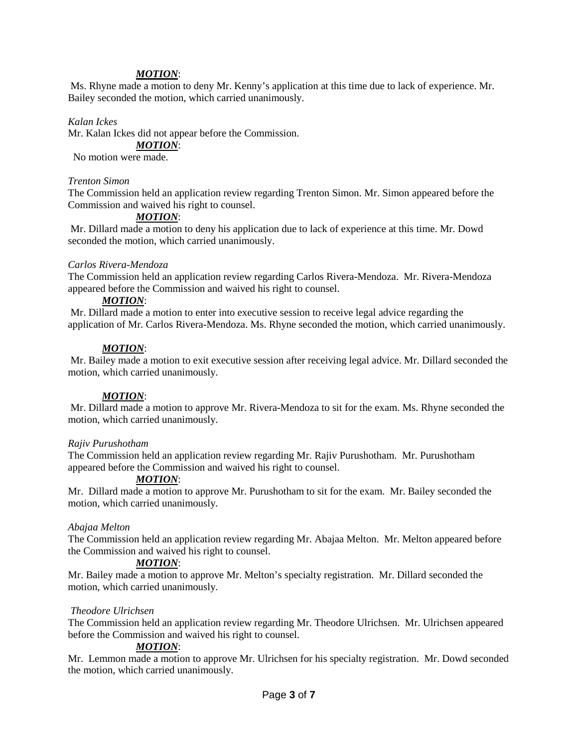# *MOTION*:

Ms. Rhyne made a motion to deny Mr. Kenny's application at this time due to lack of experience. Mr. Bailey seconded the motion, which carried unanimously.

#### *Kalan Ickes*

Mr. Kalan Ickes did not appear before the Commission.

# *MOTION*:

No motion were made.

#### *Trenton Simon*

The Commission held an application review regarding Trenton Simon. Mr. Simon appeared before the Commission and waived his right to counsel.

# *MOTION*:

Mr. Dillard made a motion to deny his application due to lack of experience at this time. Mr. Dowd seconded the motion, which carried unanimously.

#### *Carlos Rivera-Mendoza*

The Commission held an application review regarding Carlos Rivera-Mendoza. Mr. Rivera-Mendoza appeared before the Commission and waived his right to counsel.

# *MOTION*:

Mr. Dillard made a motion to enter into executive session to receive legal advice regarding the application of Mr. Carlos Rivera-Mendoza. Ms. Rhyne seconded the motion, which carried unanimously.

#### *MOTION*:

Mr. Bailey made a motion to exit executive session after receiving legal advice. Mr. Dillard seconded the motion, which carried unanimously.

#### *MOTION*:

Mr. Dillard made a motion to approve Mr. Rivera-Mendoza to sit for the exam. Ms. Rhyne seconded the motion, which carried unanimously.

#### *Rajiv Purushotham*

The Commission held an application review regarding Mr. Rajiv Purushotham. Mr. Purushotham appeared before the Commission and waived his right to counsel.

#### *MOTION*:

Mr. Dillard made a motion to approve Mr. Purushotham to sit for the exam. Mr. Bailey seconded the motion, which carried unanimously.

#### *Abajaa Melton*

The Commission held an application review regarding Mr. Abajaa Melton. Mr. Melton appeared before the Commission and waived his right to counsel.

#### *MOTION*:

Mr. Bailey made a motion to approve Mr. Melton's specialty registration. Mr. Dillard seconded the motion, which carried unanimously.

#### *Theodore Ulrichsen*

The Commission held an application review regarding Mr. Theodore Ulrichsen. Mr. Ulrichsen appeared before the Commission and waived his right to counsel.

#### *MOTION*:

Mr. Lemmon made a motion to approve Mr. Ulrichsen for his specialty registration. Mr. Dowd seconded the motion, which carried unanimously.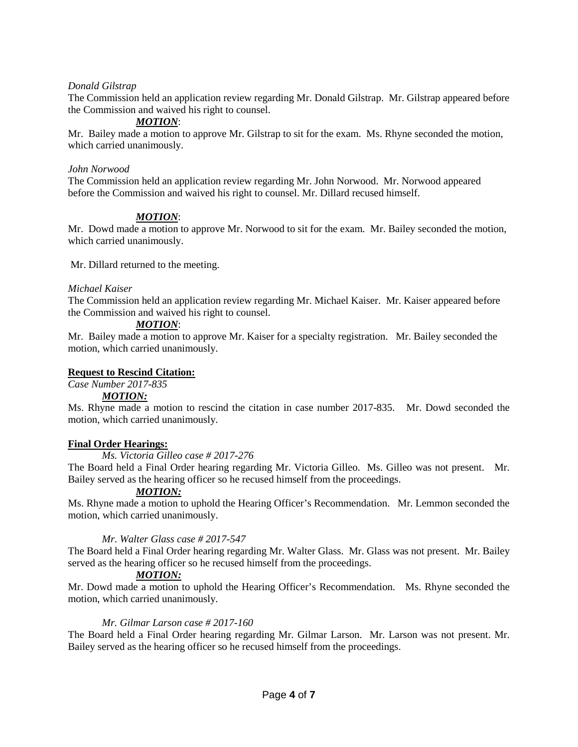# *Donald Gilstrap*

The Commission held an application review regarding Mr. Donald Gilstrap. Mr. Gilstrap appeared before the Commission and waived his right to counsel.

# *MOTION*:

Mr. Bailey made a motion to approve Mr. Gilstrap to sit for the exam. Ms. Rhyne seconded the motion, which carried unanimously.

#### *John Norwood*

The Commission held an application review regarding Mr. John Norwood. Mr. Norwood appeared before the Commission and waived his right to counsel. Mr. Dillard recused himself.

# *MOTION*:

Mr. Dowd made a motion to approve Mr. Norwood to sit for the exam. Mr. Bailey seconded the motion, which carried unanimously.

Mr. Dillard returned to the meeting.

#### *Michael Kaiser*

The Commission held an application review regarding Mr. Michael Kaiser. Mr. Kaiser appeared before the Commission and waived his right to counsel.

#### *MOTION*:

Mr. Bailey made a motion to approve Mr. Kaiser for a specialty registration. Mr. Bailey seconded the motion, which carried unanimously.

#### **Request to Rescind Citation:**

# *Case Number 2017-835*

#### *MOTION:*

Ms. Rhyne made a motion to rescind the citation in case number 2017-835. Mr. Dowd seconded the motion, which carried unanimously.

#### **Final Order Hearings:**

#### *Ms. Victoria Gilleo case # 2017-276*

The Board held a Final Order hearing regarding Mr. Victoria Gilleo. Ms. Gilleo was not present. Mr. Bailey served as the hearing officer so he recused himself from the proceedings.

#### *MOTION:*

Ms. Rhyne made a motion to uphold the Hearing Officer's Recommendation. Mr. Lemmon seconded the motion, which carried unanimously.

#### *Mr. Walter Glass case # 2017-547*

The Board held a Final Order hearing regarding Mr. Walter Glass. Mr. Glass was not present. Mr. Bailey served as the hearing officer so he recused himself from the proceedings.

# *MOTION:*

Mr. Dowd made a motion to uphold the Hearing Officer's Recommendation. Ms. Rhyne seconded the motion, which carried unanimously.

#### *Mr. Gilmar Larson case # 2017-160*

The Board held a Final Order hearing regarding Mr. Gilmar Larson. Mr. Larson was not present. Mr. Bailey served as the hearing officer so he recused himself from the proceedings.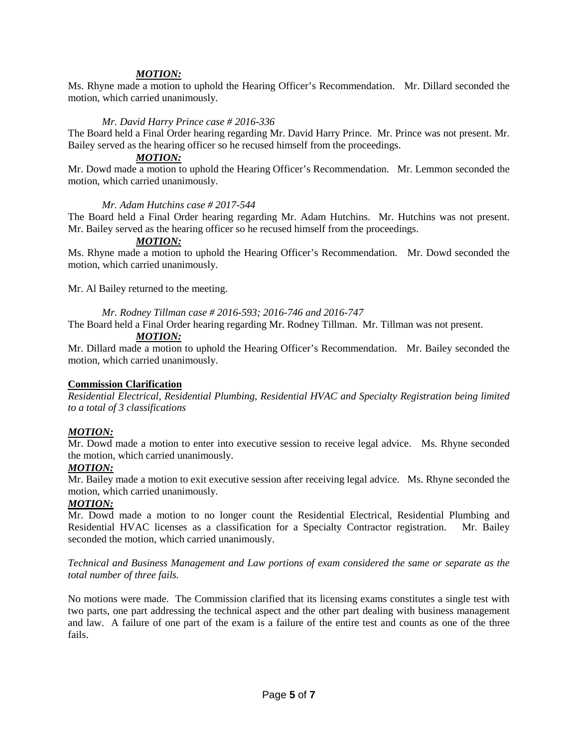### *MOTION:*

Ms. Rhyne made a motion to uphold the Hearing Officer's Recommendation. Mr. Dillard seconded the motion, which carried unanimously.

#### *Mr. David Harry Prince case # 2016-336*

The Board held a Final Order hearing regarding Mr. David Harry Prince. Mr. Prince was not present. Mr. Bailey served as the hearing officer so he recused himself from the proceedings.

#### *MOTION:*

Mr. Dowd made a motion to uphold the Hearing Officer's Recommendation. Mr. Lemmon seconded the motion, which carried unanimously.

#### *Mr. Adam Hutchins case # 2017-544*

The Board held a Final Order hearing regarding Mr. Adam Hutchins. Mr. Hutchins was not present. Mr. Bailey served as the hearing officer so he recused himself from the proceedings.

#### *MOTION:*

Ms. Rhyne made a motion to uphold the Hearing Officer's Recommendation. Mr. Dowd seconded the motion, which carried unanimously.

Mr. Al Bailey returned to the meeting.

*Mr. Rodney Tillman case # 2016-593; 2016-746 and 2016-747*

The Board held a Final Order hearing regarding Mr. Rodney Tillman. Mr. Tillman was not present.

### *MOTION:*

Mr. Dillard made a motion to uphold the Hearing Officer's Recommendation. Mr. Bailey seconded the motion, which carried unanimously.

#### **Commission Clarification**

*Residential Electrical, Residential Plumbing, Residential HVAC and Specialty Registration being limited to a total of 3 classifications*

#### *MOTION:*

Mr. Dowd made a motion to enter into executive session to receive legal advice. Ms. Rhyne seconded the motion, which carried unanimously.

#### *MOTION:*

Mr. Bailey made a motion to exit executive session after receiving legal advice. Ms. Rhyne seconded the motion, which carried unanimously.

# *MOTION:*

Mr. Dowd made a motion to no longer count the Residential Electrical, Residential Plumbing and Residential HVAC licenses as a classification for a Specialty Contractor registration. Mr. Bailey seconded the motion, which carried unanimously.

*Technical and Business Management and Law portions of exam considered the same or separate as the total number of three fails.*

No motions were made. The Commission clarified that its licensing exams constitutes a single test with two parts, one part addressing the technical aspect and the other part dealing with business management and law. A failure of one part of the exam is a failure of the entire test and counts as one of the three fails.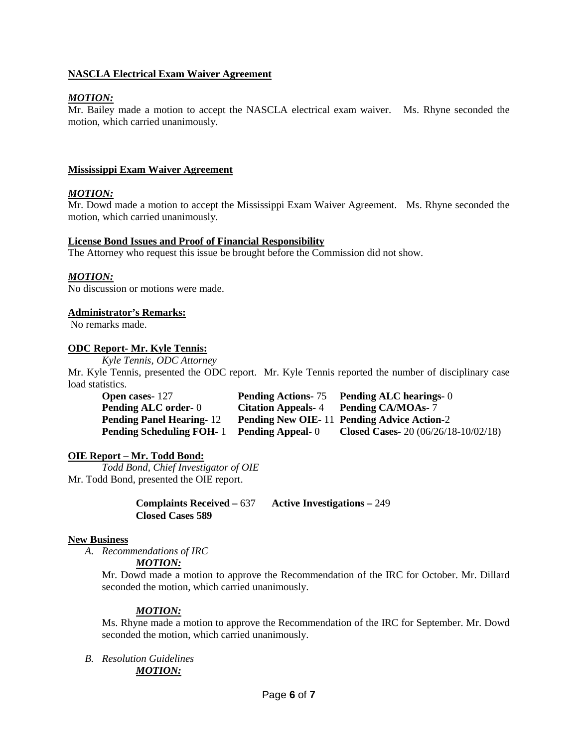# **NASCLA Electrical Exam Waiver Agreement**

# *MOTION:*

Mr. Bailey made a motion to accept the NASCLA electrical exam waiver. Ms. Rhyne seconded the motion, which carried unanimously.

### **Mississippi Exam Waiver Agreement**

# *MOTION:*

Mr. Dowd made a motion to accept the Mississippi Exam Waiver Agreement. Ms. Rhyne seconded the motion, which carried unanimously.

#### **License Bond Issues and Proof of Financial Responsibility**

The Attorney who request this issue be brought before the Commission did not show.

#### *MOTION:*

No discussion or motions were made.

#### **Administrator's Remarks:**

No remarks made.

#### **ODC Report- Mr. Kyle Tennis:**

*Kyle Tennis, ODC Attorney* 

Mr. Kyle Tennis, presented the ODC report. Mr. Kyle Tennis reported the number of disciplinary case load statistics.

| <b>Open cases-127</b>           |                          | <b>Pending Actions-75</b> Pending ALC hearings-0  |
|---------------------------------|--------------------------|---------------------------------------------------|
| <b>Pending ALC order-0</b>      |                          | Citation Appeals-4 Pending CA/MOAs-7              |
| <b>Pending Panel Hearing-12</b> |                          | <b>Pending New OIE-11 Pending Advice Action-2</b> |
| <b>Pending Scheduling FOH-1</b> | <b>Pending Appeal-</b> 0 | <b>Closed Cases-</b> 20 $(06/26/18-10/02/18)$     |

#### **OIE Report – Mr. Todd Bond:**

*Todd Bond, Chief Investigator of OIE* Mr. Todd Bond, presented the OIE report.

> **Complaints Received –** 637 **Active Investigations –** 249 **Closed Cases 589**

#### **New Business**

*A. Recommendations of IRC* 

#### *MOTION:*

Mr. Dowd made a motion to approve the Recommendation of the IRC for October. Mr. Dillard seconded the motion, which carried unanimously.

#### *MOTION:*

Ms. Rhyne made a motion to approve the Recommendation of the IRC for September. Mr. Dowd seconded the motion, which carried unanimously.

*B. Resolution Guidelines MOTION:*